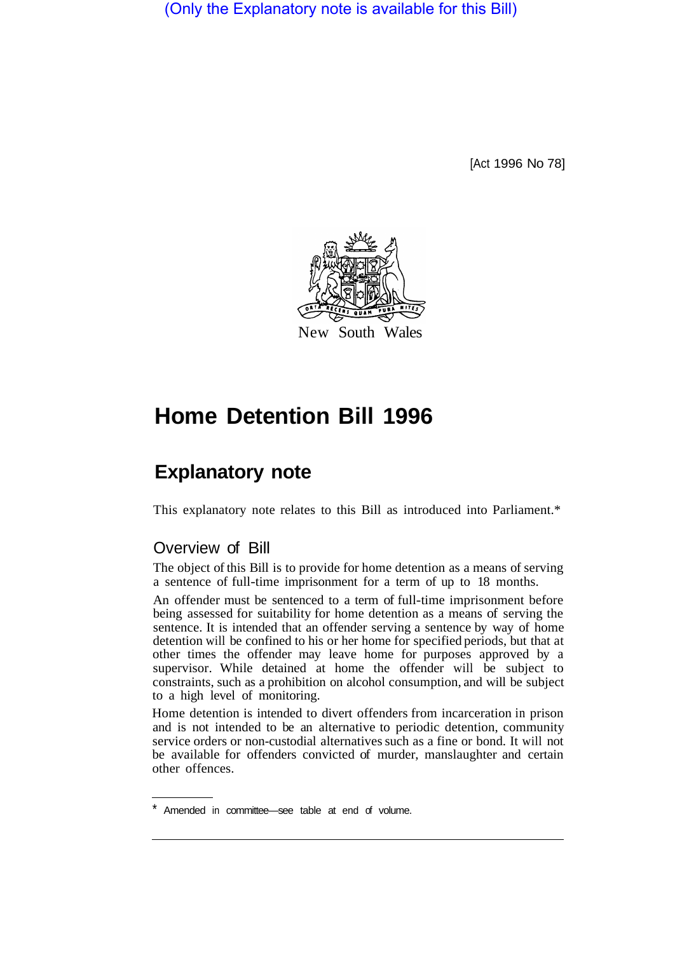(Only the Explanatory note is available for this Bill)

[Act 1996 No 78]



# **Home Detention Bill 1996**

## **Explanatory note**

This explanatory note relates to this Bill as introduced into Parliament.\*

#### Overview of Bill

The object of this Bill is to provide for home detention as a means of serving a sentence of full-time imprisonment for a term of up to 18 months.

An offender must be sentenced to a term of full-time imprisonment before being assessed for suitability for home detention as a means of serving the sentence. It is intended that an offender serving a sentence by way of home detention will be confined to his or her home for specified periods, but that at other times the offender may leave home for purposes approved by a supervisor. While detained at home the offender will be subject to constraints, such as a prohibition on alcohol consumption, and will be subject to a high level of monitoring.

Home detention is intended to divert offenders from incarceration in prison and is not intended to be an alternative to periodic detention, community service orders or non-custodial alternatives such as a fine or bond. It will not be available for offenders convicted of murder, manslaughter and certain other offences.

Amended in committee—see table at end of volume.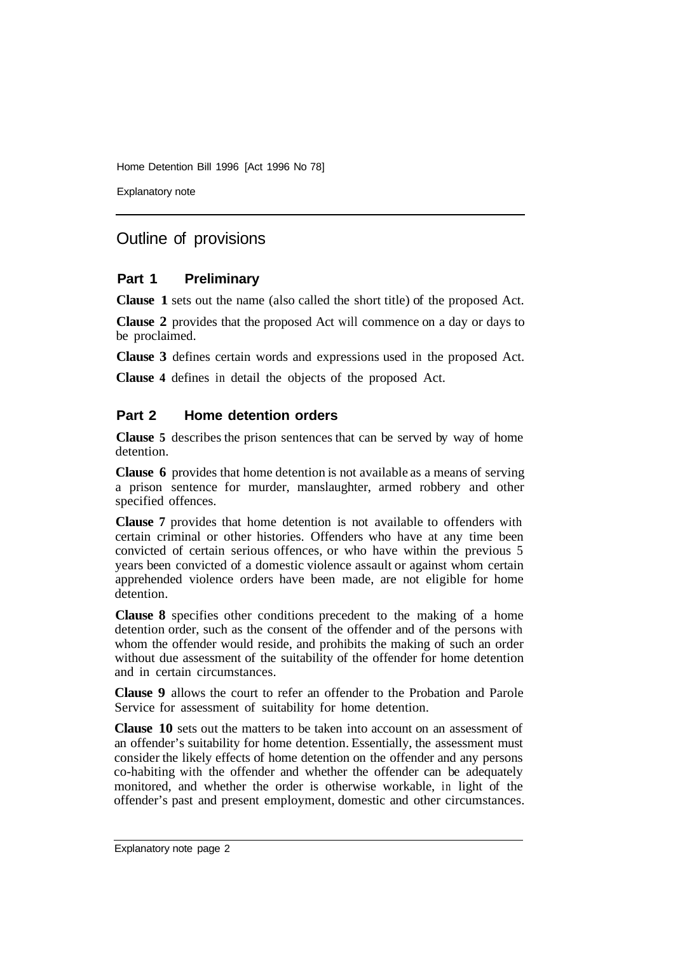Home Detention Bill 1996 [Act 1996 No 78]

Explanatory note

### Outline of provisions

#### **Part 1 Preliminary**

**Clause 1** sets out the name (also called the short title) of the proposed Act.

**Clause 2** provides that the proposed Act will commence on a day or days to be proclaimed.

**Clause 3** defines certain words and expressions used in the proposed Act.

**Clause 4** defines in detail the objects of the proposed Act.

#### **Part 2 Home detention orders**

**Clause 5** describes the prison sentences that can be served by way of home detention.

**Clause 6** provides that home detention is not available as a means of serving a prison sentence for murder, manslaughter, armed robbery and other specified offences.

**Clause 7** provides that home detention is not available to offenders with certain criminal or other histories. Offenders who have at any time been convicted of certain serious offences, or who have within the previous 5 years been convicted of a domestic violence assault or against whom certain apprehended violence orders have been made, are not eligible for home detention.

**Clause 8** specifies other conditions precedent to the making of a home detention order, such as the consent of the offender and of the persons with whom the offender would reside, and prohibits the making of such an order without due assessment of the suitability of the offender for home detention and in certain circumstances.

**Clause 9** allows the court to refer an offender to the Probation and Parole Service for assessment of suitability for home detention.

**Clause 10** sets out the matters to be taken into account on an assessment of an offender's suitability for home detention. Essentially, the assessment must consider the likely effects of home detention on the offender and any persons co-habiting with the offender and whether the offender can be adequately monitored, and whether the order is otherwise workable, in light of the offender's past and present employment, domestic and other circumstances.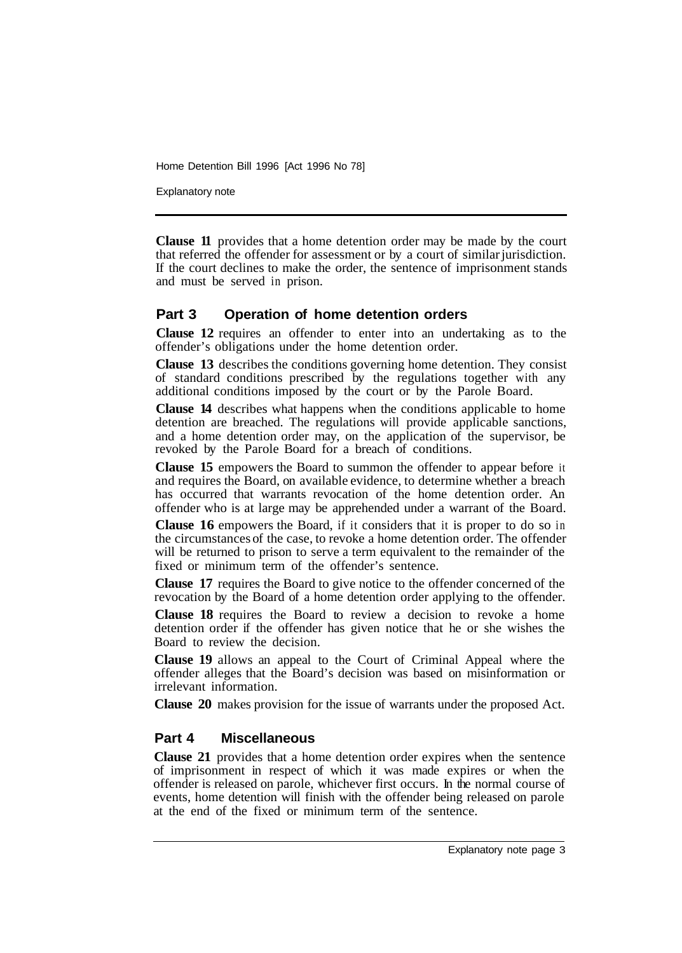Home Detention Bill 1996 [Act 1996 No 78]

Explanatory note

**Clause 11** provides that a home detention order may be made by the court that referred the offender for assessment or by a court of similar jurisdiction. If the court declines to make the order, the sentence of imprisonment stands and must be served in prison.

#### **Part 3 Operation of home detention orders**

**Clause 12** requires an offender to enter into an undertaking as to the offender's obligations under the home detention order.

**Clause 13** describes the conditions governing home detention. They consist of standard conditions prescribed by the regulations together with any additional conditions imposed by the court or by the Parole Board.

**Clause 14** describes what happens when the conditions applicable to home detention are breached. The regulations will provide applicable sanctions, and a home detention order may, on the application of the supervisor, be revoked by the Parole Board for a breach of conditions.

**Clause 15** empowers the Board to summon the offender to appear before it and requires the Board, on available evidence, to determine whether a breach has occurred that warrants revocation of the home detention order. An offender who is at large may be apprehended under a warrant of the Board.

**Clause 16** empowers the Board, if it considers that it is proper to do so in the circumstances of the case, to revoke a home detention order. The offender will be returned to prison to serve a term equivalent to the remainder of the fixed or minimum term of the offender's sentence.

**Clause 17** requires the Board to give notice to the offender concerned of the revocation by the Board of a home detention order applying to the offender.

**Clause 18** requires the Board to review a decision to revoke a home detention order if the offender has given notice that he or she wishes the Board to review the decision.

**Clause 19** allows an appeal to the Court of Criminal Appeal where the offender alleges that the Board's decision was based on misinformation or irrelevant information.

**Clause 20** makes provision for the issue of warrants under the proposed Act.

#### **Part 4 Miscellaneous**

**Clause 21** provides that a home detention order expires when the sentence of imprisonment in respect of which it was made expires or when the offender is released on parole, whichever first occurs. In the normal course of events, home detention will finish with the offender being released on parole at the end of the fixed or minimum term of the sentence.